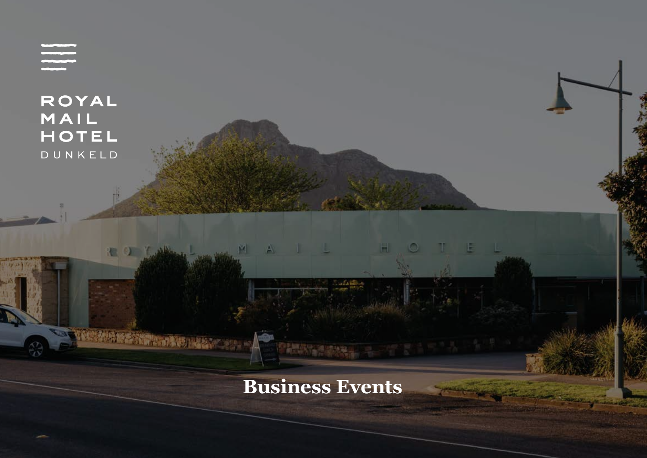

# ROYAL MAIL HOTEL DUNKELD

图 ()

**STANDARD STANDARD** 

# **Business Events**

**Haracasa** 

**CALLED**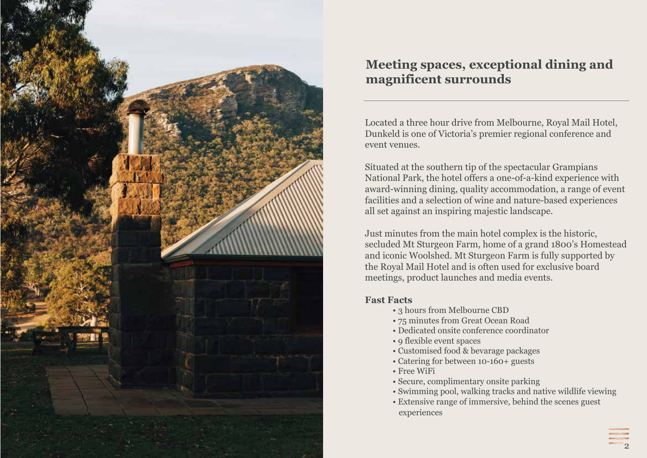

## **Meeting spaces, exceptional dining and magnificent surrounds**

Located a three hour drive from Melbourne, Royal Mail Hotel, Dunkeld is one of Victoria's premier regional conference and event venues.

Situated at the southern tip of the spectacular Grampians National Park, the hotel offers a one-of-a-kind experience with award-winning dining, quality accommodation, a range of event facilities and a selection of wine and nature-based experiences all set against an inspiring majestic landscape.

Just minutes from the main hotel complex is the historic, secluded Mt Sturgeon Farm, home of a grand 1800's Homestead and iconic Woolshed. Mt Sturgeon Farm is fully supported by the Royal Mail Hotel and is often used for exclusive board meetings, product launches and media events.

#### **Fast Facts**

- 3 hours from Melbourne CBD
- 75 minutes from Great Ocean Road
- Dedicated onsite conference coordinator
- 9 flexible event spaces
- Customised food & bevarage packages
- Catering for between 10-160+ guests
- Free WiFi
- Secure, complimentary onsite parking
- Swimming pool, walking tracks and native wildlife viewing

2

 • Extensive range of immersive, behind the scenes guest experiences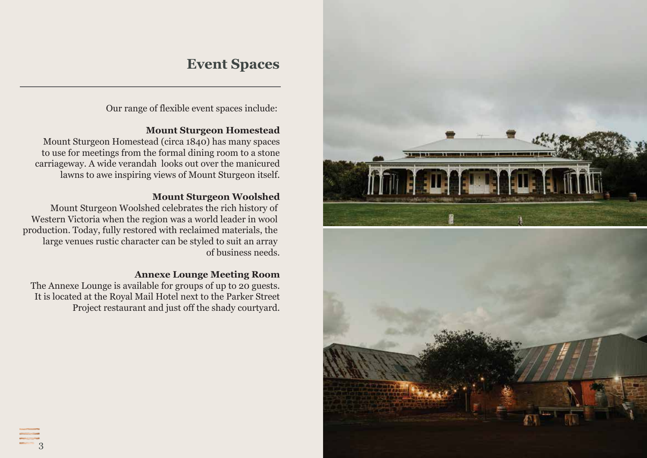

## **Event Spaces**

Our range of flexible event spaces include:

#### **Mount Sturgeon Homestead**

Mount Sturgeon Homestead (circa 1840) has many spaces to use for meetings from the formal dining room to a stone carriageway. A wide verandah looks out over the manicured lawns to awe inspiring views of Mount Sturgeon itself.

#### **Mount Sturgeon Woolshed**

Mount Sturgeon Woolshed celebrates the rich history of Western Victoria when the region was a world leader in wool production. Today, fully restored with reclaimed materials, the large venues rustic character can be styled to suit an array of business needs.

#### **Annexe Lounge Meeting Room**

The Annexe Lounge is available for groups of up to 20 guests. It is located at the Royal Mail Hotel next to the Parker Street Project restaurant and just off the shady courtyard.

3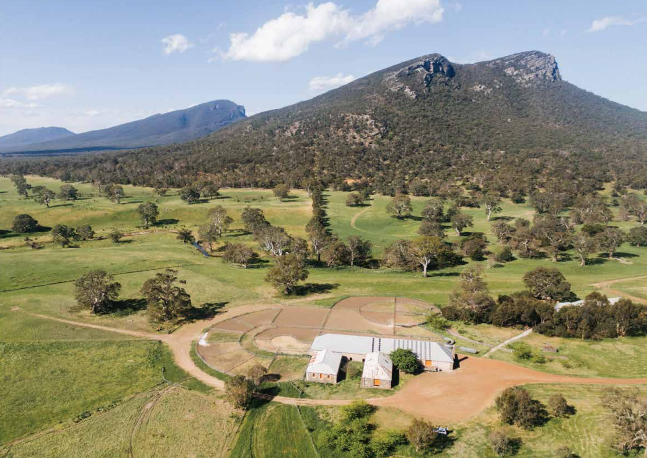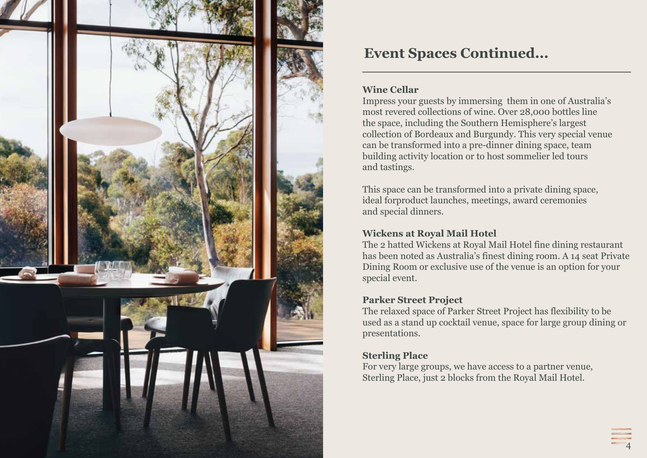

# **Event Spaces Continued...**

#### **Wine Cellar**

Impress your guests by immersing them in one of Australia's most revered collections of wine. Over 28,000 bottles line the space, including the Southern Hemisphere's largest collection of Bordeaux and Burgundy. This very special venue can be transformed into a pre-dinner dining space, team building activity location or to host sommelier led tours and tastings.

This space can be transformed into a private dining space, ideal forproduct launches, meetings, award ceremonies and special dinners.

#### **Wickens at Royal Mail Hotel**

The 2 hatted Wickens at Royal Mail Hotel fine dining restaurant has been noted as Australia's finest dining room. A 14 seat Private Dining Room or exclusive use of the venue is an option for your special event.

#### **Parker Street Project**

The relaxed space of Parker Street Project has flexibility to be used as a stand up cocktail venue, space for large group dining or presentations.

#### **Sterling Place**

For very large groups, we have access to a partner venue, Sterling Place, just 2 blocks from the Royal Mail Hotel.

4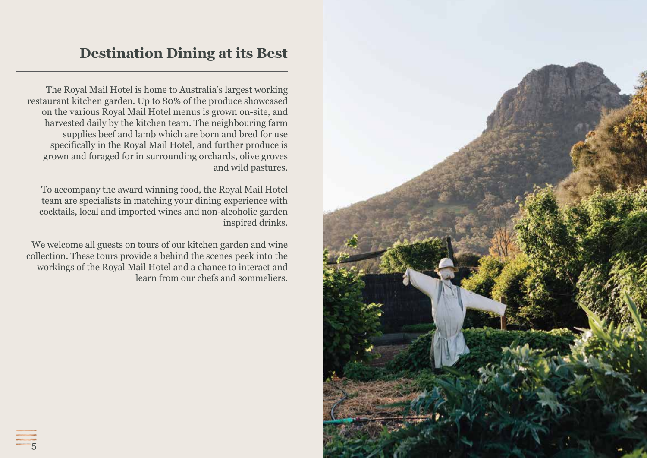

# **Destination Dining at its Best**

The Royal Mail Hotel is home to Australia's largest working restaurant kitchen garden. Up to 80% of the produce showcased on the various Royal Mail Hotel menus is grown on-site, and harvested daily by the kitchen team. The neighbouring farm supplies beef and lamb which are born and bred for use specifically in the Royal Mail Hotel, and further produce is grown and foraged for in surrounding orchards, olive groves and wild pastures.

To accompany the award winning food, the Royal Mail Hotel team are specialists in matching your dining experience with cocktails, local and imported wines and non-alcoholic garden inspired drinks.

We welcome all guests on tours of our kitchen garden and wine collection. These tours provide a behind the scenes peek into the workings of the Royal Mail Hotel and a chance to interact and learn from our chefs and sommeliers.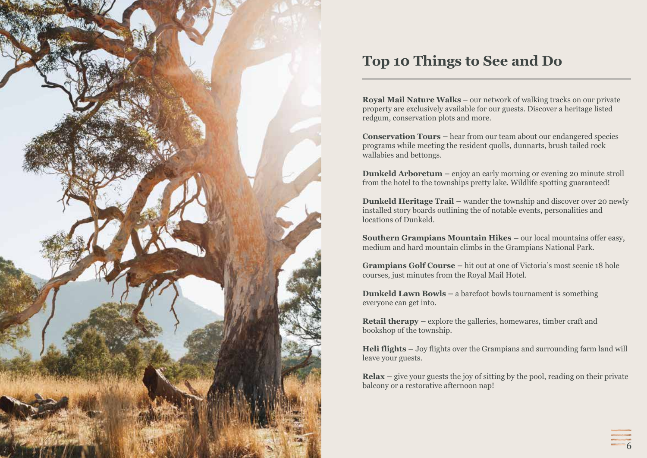

# **Top 10 Things to See and Do**

**Royal Mail Nature Walks** – our network of walking tracks on our private property are exclusively available for our guests. Discover a heritage listed redgum, conservation plots and more.

**Conservation Tours –** hear from our team about our endangered species programs while meeting the resident quolls, dunnarts, brush tailed rock wallabies and bettongs.

**Dunkeld Arboretum –** enjoy an early morning or evening 20 minute stroll from the hotel to the townships pretty lake. Wildlife spotting guaranteed!

**Dunkeld Heritage Trail –** wander the township and discover over 20 newly installed story boards outlining the of notable events, personalities and locations of Dunkeld.

**Southern Grampians Mountain Hikes –** our local mountains offer easy, medium and hard mountain climbs in the Grampians National Park.

**Grampians Golf Course –** hit out at one of Victoria's most scenic 18 hole courses, just minutes from the Royal Mail Hotel.

**Dunkeld Lawn Bowls –** a barefoot bowls tournament is something everyone can get into.

**Retail therapy –** explore the galleries, homewares, timber craft and bookshop of the township.

**Heli flights –** Joy flights over the Grampians and surrounding farm land will leave your guests.

**Relax –** give your guests the joy of sitting by the pool, reading on their private balcony or a restorative afternoon nap!

6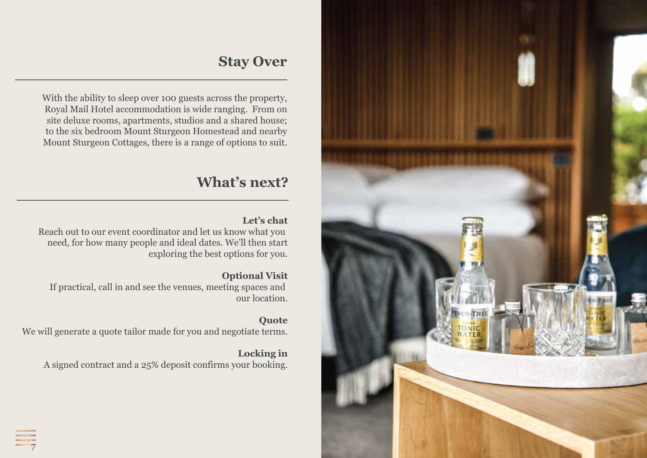

## **Stay Over**

With the ability to sleep over 100 guests across the property, Royal Mail Hotel accommodation is wide ranging. From on site deluxe rooms, apartments, studios and a shared house; to the six bedroom Mount Sturgeon Homestead and nearby Mount Sturgeon Cottages, there is a range of options to suit.

# **What's next?**

#### **Let's chat**

Reach out to our event coordinator and let us know what you need, for how many people and ideal dates. We'll then start exploring the best options for you.

#### **Optional Visit**

If practical, call in and see the venues, meeting spaces and our location.

**Quote** We will generate a quote tailor made for you and negotiate terms.

7

**Locking in** A signed contract and a 25% deposit confirms your booking.